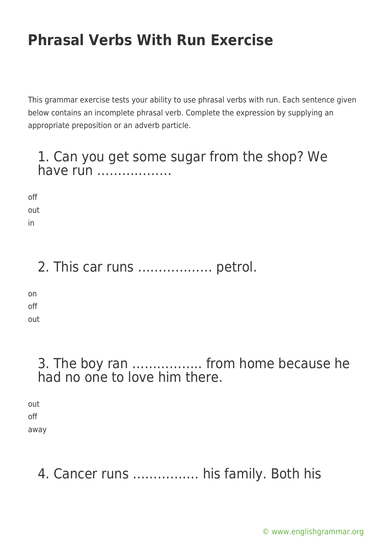This grammar exercise tests your ability to use phrasal verbs with run. Each sentence given below contains an incomplete phrasal verb. Complete the expression by supplying an appropriate preposition or an adverb particle.

#### 1. Can you get some sugar from the shop? We have run ………………

off out in

2. This car runs ……………… petrol.

on off out

### 3. The boy ran …………….. from home because he had no one to love him there.

out off away

### 4. Cancer runs ……………. his family. Both his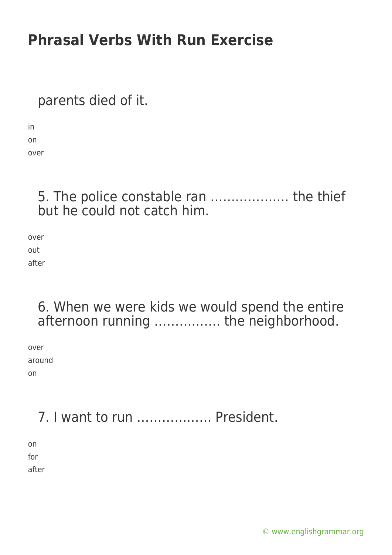parents died of it.

in on over

> 5. The police constable ran ………………. the thief but he could not catch him.

over out after

#### 6. When we were kids we would spend the entire afternoon running ……………. the neighborhood.

over around on

## 7. I want to run ……………… President.

on for after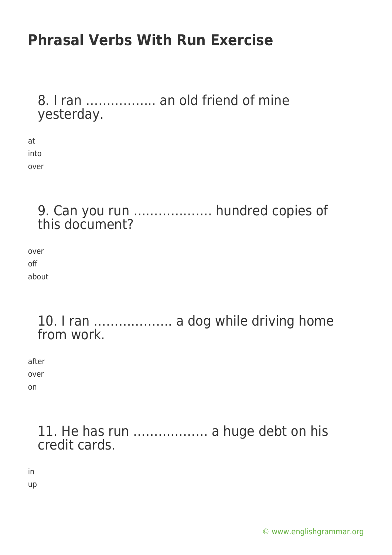#### 8. I ran …………….. an old friend of mine yesterday.

at into over

#### 9. Can you run ………………. hundred copies of this document?

over off about

#### 10. I ran ………………. a dog while driving home from work.

after over on

#### 11. He has run ……………… a huge debt on his credit cards.

in

up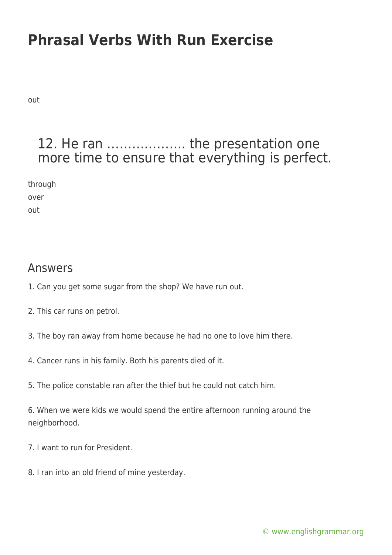out

#### 12. He ran ………………. the presentation one more time to ensure that everything is perfect.

through

over out

#### Answers

- 1. Can you get some sugar from the shop? We have run out.
- 2. This car runs on petrol.
- 3. The boy ran away from home because he had no one to love him there.
- 4. Cancer runs in his family. Both his parents died of it.
- 5. The police constable ran after the thief but he could not catch him.

6. When we were kids we would spend the entire afternoon running around the neighborhood.

- 7. I want to run for President.
- 8. I ran into an old friend of mine yesterday.